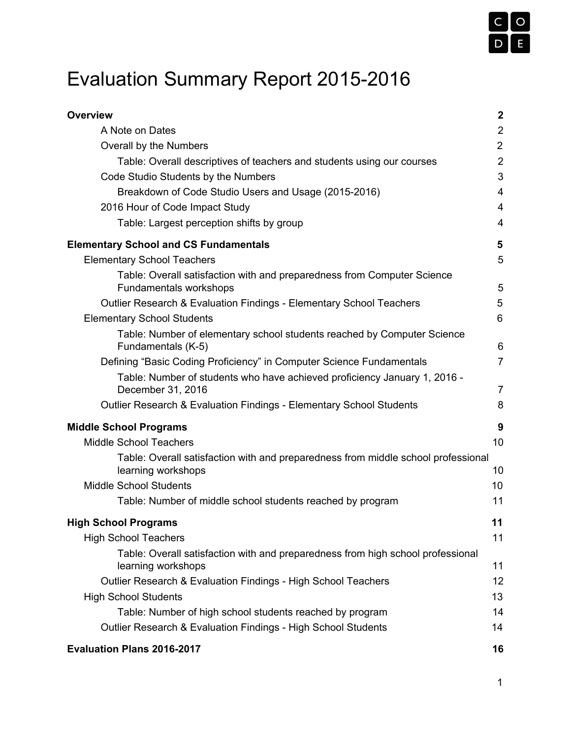

# Evaluation Summary Report 2015-2016

| <b>Overview</b>                                                                                         | $\boldsymbol{2}$        |
|---------------------------------------------------------------------------------------------------------|-------------------------|
| A Note on Dates                                                                                         | $\overline{2}$          |
| Overall by the Numbers                                                                                  | $\overline{2}$          |
| Table: Overall descriptives of teachers and students using our courses                                  | $\overline{2}$          |
| Code Studio Students by the Numbers                                                                     | 3                       |
| Breakdown of Code Studio Users and Usage (2015-2016)                                                    | $\overline{\mathbf{4}}$ |
| 2016 Hour of Code Impact Study                                                                          | $\overline{4}$          |
| Table: Largest perception shifts by group                                                               | $\overline{\mathbf{4}}$ |
| <b>Elementary School and CS Fundamentals</b>                                                            | 5                       |
| <b>Elementary School Teachers</b>                                                                       | 5                       |
| Table: Overall satisfaction with and preparedness from Computer Science<br>Fundamentals workshops       | 5                       |
| Outlier Research & Evaluation Findings - Elementary School Teachers                                     | 5                       |
| <b>Elementary School Students</b>                                                                       | 6                       |
| Table: Number of elementary school students reached by Computer Science<br>Fundamentals (K-5)           | 6                       |
| Defining "Basic Coding Proficiency" in Computer Science Fundamentals                                    | $\overline{7}$          |
| Table: Number of students who have achieved proficiency January 1, 2016 -<br>December 31, 2016          | $\overline{7}$          |
| Outlier Research & Evaluation Findings - Elementary School Students                                     | 8                       |
| <b>Middle School Programs</b>                                                                           | 9                       |
| <b>Middle School Teachers</b>                                                                           | 10                      |
| Table: Overall satisfaction with and preparedness from middle school professional<br>learning workshops | 10                      |
| <b>Middle School Students</b>                                                                           | 10                      |
| Table: Number of middle school students reached by program                                              | 11                      |
| <b>High School Programs</b>                                                                             | 11                      |
| <b>High School Teachers</b>                                                                             | 11                      |
| Table: Overall satisfaction with and preparedness from high school professional<br>learning workshops   | 11                      |
| Outlier Research & Evaluation Findings - High School Teachers                                           | 12                      |
| <b>High School Students</b>                                                                             | 13                      |
| Table: Number of high school students reached by program                                                | 14                      |
| Outlier Research & Evaluation Findings - High School Students                                           | 14                      |
| <b>Evaluation Plans 2016-2017</b>                                                                       | 16                      |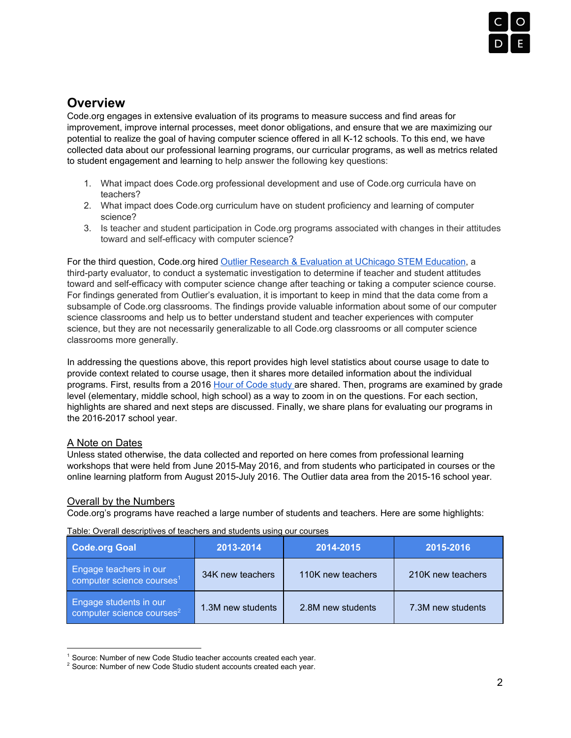

# <span id="page-1-0"></span>**Overview**

Code.org engages in extensive evaluation of its programs to measure success and find areas for improvement, improve internal processes, meet donor obligations, and ensure that we are maximizing our potential to realize the goal of having computer science offered in all K-12 schools. To this end, we have collected data about our professional learning programs, our curricular programs, as well as metrics related to student engagement and learning to help answer the following key questions:

- 1. What impact does Code.org professional development and use of Code.org curricula have on teachers?
- 2. What impact does Code.org curriculum have on student proficiency and learning of computer science?
- 3. Is teacher and student participation in Code.org programs associated with changes in their attitudes toward and self-efficacy with computer science?

For the third question, Code.org hired [Outlier Research & Evaluation at UChicago STEM Education,](http://outlier.uchicago.edu/) a third-party evaluator, to conduct a systematic investigation to determine if teacher and student attitudes toward and self-efficacy with computer science change after teaching or taking a computer science course. For findings generated from Outlier's evaluation, it is important to keep in mind that the data come from a subsample of Code.org classrooms. The findings provide valuable information about some of our computer science classrooms and help us to better understand student and teacher experiences with computer science, but they are not necessarily generalizable to all Code.org classrooms or all computer science classrooms more generally.

In addressing the questions above, this report provides high level statistics about course usage to date to provide context related to course usage, then it shares more detailed information about the individual programs. First, results from a 2016 [Hour of Code study a](https://code.org/files/HourOfCodeImpactStudy_Jan2017.pdf)re shared. Then, programs are examined by grade level (elementary, middle school, high school) as a way to zoom in on the questions. For each section, highlights are shared and next steps are discussed. Finally, we share plans for evaluating our programs in the 2016-2017 school year.

# <span id="page-1-1"></span>A Note on Dates

Unless stated otherwise, the data collected and reported on here comes from professional learning workshops that were held from June 2015-May 2016, and from students who participated in courses or the online learning platform from August 2015-July 2016. The Outlier data area from the 2015-16 school year.

# <span id="page-1-2"></span>Overall by the Numbers

Code.org's programs have reached a large number of students and teachers. Here are some highlights:

<span id="page-1-3"></span>Table: Overall descriptives of teachers and students using our courses

| <b>Code.org Goal</b>                                            | 2013-2014         | 2014-2015         | 2015-2016         |
|-----------------------------------------------------------------|-------------------|-------------------|-------------------|
| Engage teachers in our<br>computer science courses <sup>1</sup> | 34K new teachers  | 110K new teachers | 210K new teachers |
| Engage students in our<br>computer science courses <sup>2</sup> | 1.3M new students | 2.8M new students | 7.3M new students |

<sup>&</sup>lt;sup>1</sup> Source: Number of new Code Studio teacher accounts created each year.

<sup>&</sup>lt;sup>2</sup> Source: Number of new Code Studio student accounts created each year.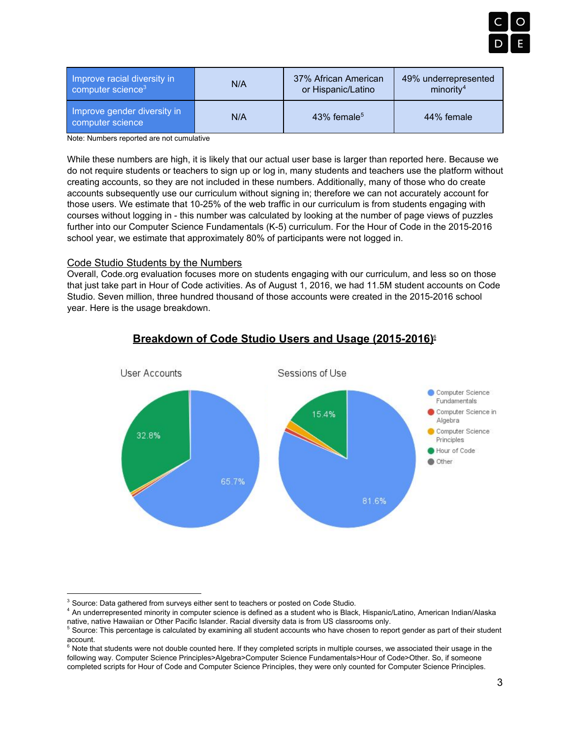| Improve racial diversity in                     | N/A | 37% African American       | 49% underrepresented  |
|-------------------------------------------------|-----|----------------------------|-----------------------|
| computer science $3$                            |     | or Hispanic/Latino         | minority <sup>4</sup> |
| Improve gender diversity in<br>computer science | N/A | $43\%$ female <sup>5</sup> | 44% female            |

Note: Numbers reported are not cumulative

While these numbers are high, it is likely that our actual user base is larger than reported here. Because we do not require students or teachers to sign up or log in, many students and teachers use the platform without creating accounts, so they are not included in these numbers. Additionally, many of those who do create accounts subsequently use our curriculum without signing in; therefore we can not accurately account for those users. We estimate that 10-25% of the web traffic in our curriculum is from students engaging with courses without logging in - this number was calculated by looking at the number of page views of puzzles further into our Computer Science Fundamentals (K-5) curriculum. For the Hour of Code in the 2015-2016 school year, we estimate that approximately 80% of participants were not logged in.

### <span id="page-2-0"></span>Code Studio Students by the Numbers

Overall, Code.org evaluation focuses more on students engaging with our curriculum, and less so on those that just take part in Hour of Code activities. As of August 1, 2016, we had 11.5M student accounts on Code Studio. Seven million, three hundred thousand of those accounts were created in the 2015-2016 school year. Here is the usage breakdown.

<span id="page-2-1"></span>

# **Breakdown of Code Studio Users and Usage (2015-2016)**<sup>6</sup>

 $3$  Source: Data gathered from surveys either sent to teachers or posted on Code Studio.

<sup>4</sup> An underrepresented minority in computer science is defined as a student who is Black, Hispanic/Latino, American Indian/Alaska native, native Hawaiian or Other Pacific Islander. Racial diversity data is from US classrooms only.

<sup>&</sup>lt;sup>5</sup> Source: This percentage is calculated by examining all student accounts who have chosen to report gender as part of their student account.

<sup>&</sup>lt;sup>6</sup> Note that students were not double counted here. If they completed scripts in multiple courses, we associated their usage in the following way. Computer Science Principles>Algebra>Computer Science Fundamentals>Hour of Code>Other. So, if someone completed scripts for Hour of Code and Computer Science Principles, they were only counted for Computer Science Principles.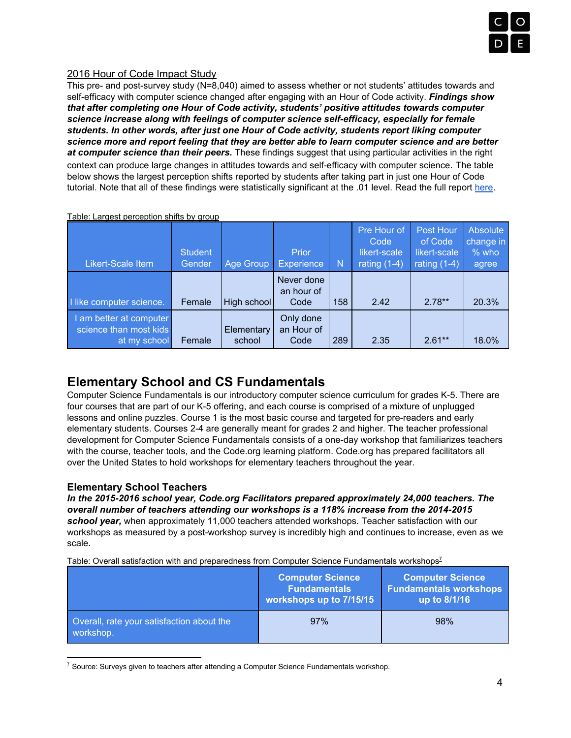

# <span id="page-3-0"></span>2016 Hour of Code Impact Study

This pre- and post-survey study (N=8,040) aimed to assess whether or not students' attitudes towards and self-efficacy with computer science changed after engaging with an Hour of Code activity. *Findings show that after completing one Hour of Code activity, students' positive attitudes towards computer science increase along with feelings of computer science self-efficacy, especially for female students. In other words, after just one Hour of Code activity, students report liking computer science more and report feeling that they are better able to learn computer science and are better at computer science than their peers.* These findings suggest that using particular activities in the right context can produce large changes in attitudes towards and self-efficacy with computer science. The table below shows the largest perception shifts reported by students after taking part in just one Hour of Code tutorial. Note that all of these findings were statistically significant at the .01 level. Read the full report [here.](https://code.org/files/HourOfCodeImpactStudy_Jan2017.pdf)

| rable: Largest perception shifts by group                       |                          |                      |                                   |     |                                                       |                                                        |                                                  |
|-----------------------------------------------------------------|--------------------------|----------------------|-----------------------------------|-----|-------------------------------------------------------|--------------------------------------------------------|--------------------------------------------------|
| Likert-Scale Item                                               | <b>Student</b><br>Gender | <b>Age Group</b>     | <b>Prior</b><br><b>Experience</b> | N   | Pre Hour of<br>Code<br>likert-scale<br>rating $(1-4)$ | Post Hour<br>of Code<br>likert-scale<br>rating $(1-4)$ | <b>Absolute</b><br>change in<br>$%$ who<br>agree |
| I like computer science.                                        | Female                   | High school          | Never done<br>an hour of<br>Code  | 158 | 2.42                                                  | $2.78**$                                               | 20.3%                                            |
| am better at computer<br>science than most kids<br>at my school | Female                   | Elementary<br>school | Only done<br>an Hour of<br>Code   | 289 | 2.35                                                  | $2.61***$                                              | 18.0%                                            |

<span id="page-3-1"></span>Table: Largest perception shifts by group

# <span id="page-3-2"></span>**Elementary School and CS Fundamentals**

Computer Science Fundamentals is our introductory computer science curriculum for grades K-5. There are four courses that are part of our K-5 offering, and each course is comprised of a mixture of unplugged lessons and online puzzles. Course 1 is the most basic course and targeted for pre-readers and early elementary students. Courses 2-4 are generally meant for grades 2 and higher. The teacher professional development for Computer Science Fundamentals consists of a one-day workshop that familiarizes teachers with the course, teacher tools, and the Code.org learning platform. Code.org has prepared facilitators all over the United States to hold workshops for elementary teachers throughout the year.

# <span id="page-3-3"></span>**Elementary School Teachers**

*In the 2015-2016 school year, Code.org Facilitators prepared approximately 24,000 teachers. The overall number of teachers attending our workshops is a 118% increase from the 2014-2015 school year,* when approximately 11,000 teachers attended workshops. Teacher satisfaction with our workshops as measured by a post-workshop survey is incredibly high and continues to increase, even as we scale.

<span id="page-3-4"></span>Table: Overall satisfaction with and preparedness from Computer Science Fundamentals workshops<sup>7</sup>

|                                                        | <b>Computer Science</b><br><b>Fundamentals</b><br>workshops up to 7/15/15 | <b>Computer Science</b><br><b>Fundamentals workshops</b><br>up to 8/1/16 |
|--------------------------------------------------------|---------------------------------------------------------------------------|--------------------------------------------------------------------------|
| Overall, rate your satisfaction about the<br>workshop. | 97%                                                                       | 98%                                                                      |

<sup>&</sup>lt;sup>7</sup> Source: Surveys given to teachers after attending a Computer Science Fundamentals workshop.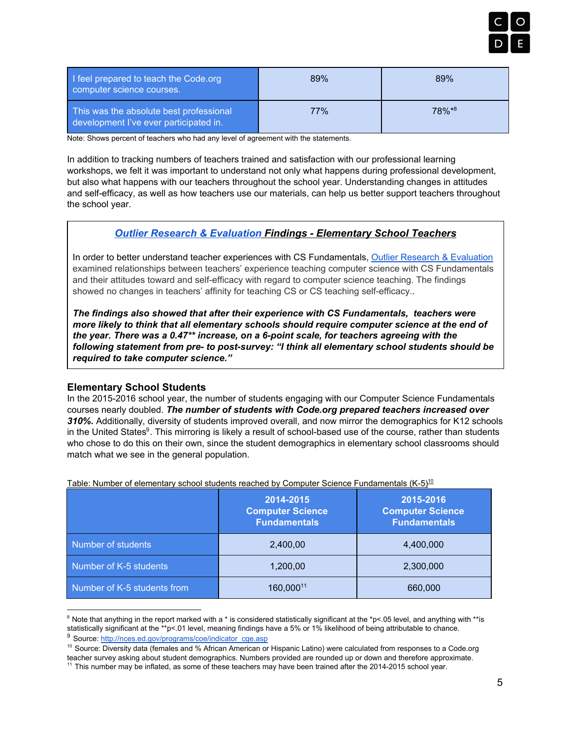| I feel prepared to teach the Code.org<br>computer science courses.                | 89%        | 89%   |
|-----------------------------------------------------------------------------------|------------|-------|
| This was the absolute best professional<br>development I've ever participated in. | <b>77%</b> | 78%*8 |

Note: Shows percent of teachers who had any level of agreement with the statements.

In addition to tracking numbers of teachers trained and satisfaction with our professional learning workshops, we felt it was important to understand not only what happens during professional development, but also what happens with our teachers throughout the school year. Understanding changes in attitudes and self-efficacy, as well as how teachers use our materials, can help us better support teachers throughout the school year.

# *[Outlier Research](http://outlier.uchicago.edu/) & Evaluation Findings - Elementary School Teachers*

<span id="page-4-0"></span>In order to better understand teacher experiences with CS Fundamentals, [Outlier Research & Evaluation](http://outlier.uchicago.edu/) examined relationships between teachers' experience teaching computer science with CS Fundamentals and their attitudes toward and self-efficacy with regard to computer science teaching. The findings showed no changes in teachers' affinity for teaching CS or CS teaching self-efficacy..

*The findings also showed that after their experience with CS Fundamentals, teachers were more likely to think that all elementary schools should require computer science at the end of the year. There was a 0.47\*\* increase, on a 6-point scale, for teachers agreeing with the following statement from pre- to post-survey: "I think all elementary school students should be required to take computer science."*

### <span id="page-4-1"></span>**Elementary School Students**

In the 2015-2016 school year, the number of students engaging with our Computer Science Fundamentals courses nearly doubled. *The number of students with Code.org prepared teachers increased over 310%.* Additionally, diversity of students improved overall, and now mirror the demographics for K12 schools in the United States<sup>9</sup>. This mirroring is likely a result of school-based use of the course, rather than students who chose to do this on their own, since the student demographics in elementary school classrooms should match what we see in the general population.

| <u>. Motor reminder or crementary correct createrize roadmos by comparer coronado remaindiremento (r. c</u> | 2014-2015<br><b>Computer Science</b><br><b>Fundamentals</b> | 2015-2016<br><b>Computer Science</b><br><b>Fundamentals</b> |
|-------------------------------------------------------------------------------------------------------------|-------------------------------------------------------------|-------------------------------------------------------------|
| Number of students                                                                                          | 2,400,00                                                    | 4,400,000                                                   |
| Number of K-5 students                                                                                      | 1,200,00                                                    | 2,300,000                                                   |
| Number of K-5 students from                                                                                 | 160,00011                                                   | 660,000                                                     |

<span id="page-4-2"></span>Table: Number of elementary school students reached by Computer Science Fundamentals  $(K-5)^{10}$ 

 $^8$  Note that anything in the report marked with a \* is considered statistically significant at the \*p<.05 level, and anything with \*\*is statistically significant at the \*\*p<.01 level, meaning findings have a 5% or 1% likelihood of being attributable to chance. 9 Source: [http://nces.ed.gov/programs/coe/indicator\\_cge.asp](http://nces.ed.gov/programs/coe/indicator_cge.asp)

<sup>&</sup>lt;sup>10</sup> Source: Diversity data (females and % African American or Hispanic Latino) were calculated from responses to a Code.org teacher survey asking about student demographics. Numbers provided are rounded up or down and therefore approximate.

<sup>&</sup>lt;sup>11</sup> This number may be inflated, as some of these teachers may have been trained after the 2014-2015 school year.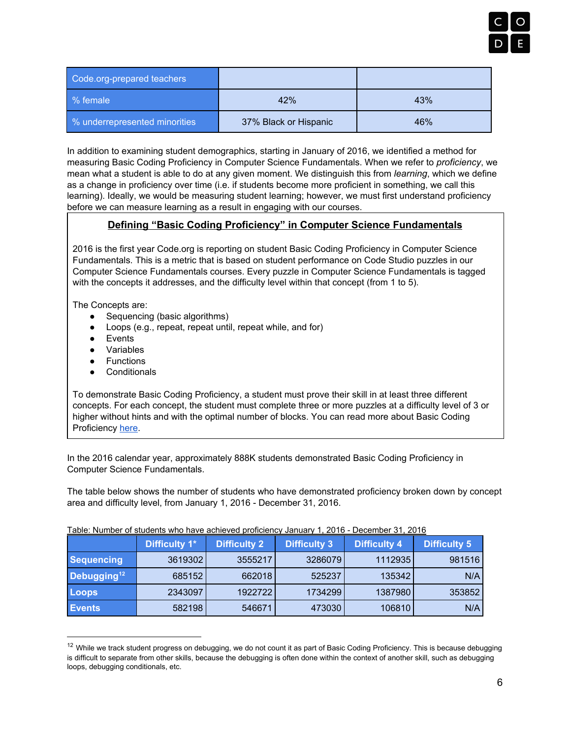

| Code.org-prepared teachers    |                       |     |
|-------------------------------|-----------------------|-----|
| % female                      | 42%                   | 43% |
| % underrepresented minorities | 37% Black or Hispanic | 46% |

In addition to examining student demographics, starting in January of 2016, we identified a method for measuring Basic Coding Proficiency in Computer Science Fundamentals. When we refer to *proficiency*, we mean what a student is able to do at any given moment. We distinguish this from *learning*, which we define as a change in proficiency over time (i.e. if students become more proficient in something, we call this learning). Ideally, we would be measuring student learning; however, we must first understand proficiency before we can measure learning as a result in engaging with our courses.

# **Defining "Basic Coding Proficiency" in Computer Science Fundamentals**

<span id="page-5-0"></span>2016 is the first year Code.org is reporting on student Basic Coding Proficiency in Computer Science Fundamentals. This is a metric that is based on student performance on Code Studio puzzles in our Computer Science Fundamentals courses. Every puzzle in Computer Science Fundamentals is tagged with the concepts it addresses, and the difficulty level within that concept (from 1 to 5).

The Concepts are:

- Sequencing (basic algorithms)
- Loops (e.g., repeat, repeat until, repeat while, and for)
- Events
- Variables
- **Functions**
- **Conditionals**

To demonstrate Basic Coding Proficiency, a student must prove their skill in at least three different concepts. For each concept, the student must complete three or more puzzles at a difficulty level of 3 or higher without hints and with the optimal number of blocks. You can read more about Basic Coding Proficiency [here.](https://code.org/about/evaluation/proficiency)

In the 2016 calendar year, approximately 888K students demonstrated Basic Coding Proficiency in Computer Science Fundamentals.

The table below shows the number of students who have demonstrated proficiency broken down by concept area and difficulty level, from January 1, 2016 - December 31, 2016.

<span id="page-5-1"></span>Table: Number of students who have achieved proficiency January 1, 2016 - December 31, 2016

|                         | Difficulty 1* | <b>Difficulty 2</b> | <b>Difficulty 3</b> | <b>Difficulty 4</b> | <b>Difficulty 5</b> |
|-------------------------|---------------|---------------------|---------------------|---------------------|---------------------|
| <b>Sequencing</b>       | 3619302       | 3555217             | 3286079             | 1112935             | 981516              |
| Debugging <sup>12</sup> | 685152        | 662018              | 525237              | 135342              | N/A                 |
| <b>Loops</b>            | 2343097       | 1922722             | 1734299             | 1387980             | 353852              |
| <b>Events</b>           | 582198        | 546671              | 473030              | 106810              | N/A                 |

 $12$  While we track student progress on debugging, we do not count it as part of Basic Coding Proficiency. This is because debugging is difficult to separate from other skills, because the debugging is often done within the context of another skill, such as debugging loops, debugging conditionals, etc.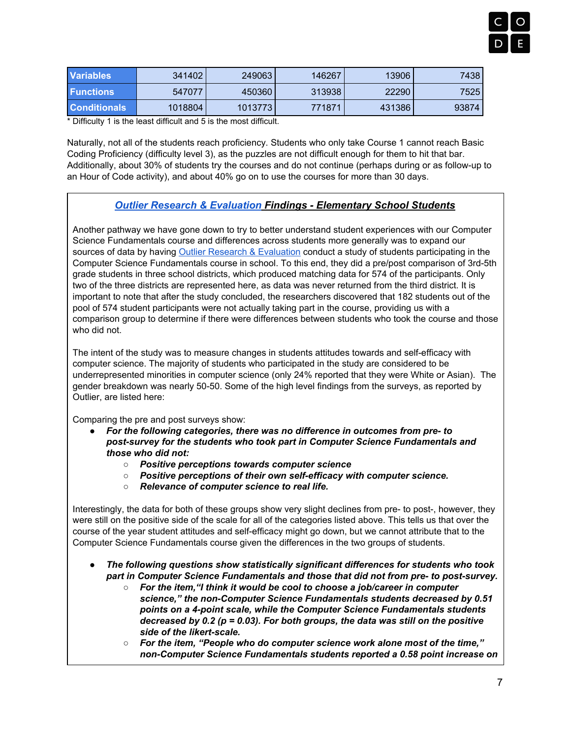

| 313938<br>22290<br>547077<br><b>Functions</b><br>450360<br><b>Conditionals</b><br>771871<br>431386<br>1018804<br>1013773 | <b>Variables</b> | 341402 | 249063 | 146267 | 13906 | 7438  |
|--------------------------------------------------------------------------------------------------------------------------|------------------|--------|--------|--------|-------|-------|
|                                                                                                                          |                  |        |        |        |       | 7525  |
|                                                                                                                          |                  |        |        |        |       | 93874 |

\* Difficulty 1 is the least difficult and 5 is the most difficult.

Naturally, not all of the students reach proficiency. Students who only take Course 1 cannot reach Basic Coding Proficiency (difficulty level 3), as the puzzles are not difficult enough for them to hit that bar. Additionally, about 30% of students try the courses and do not continue (perhaps during or as follow-up to an Hour of Code activity), and about 40% go on to use the courses for more than 30 days.

# *[Outlier Research](http://outlier.uchicago.edu/) & Evaluation Findings - Elementary School Students*

<span id="page-6-0"></span>Another pathway we have gone down to try to better understand student experiences with our Computer Science Fundamentals course and differences across students more generally was to expand our sources of data by having [Outlier Research & Evaluation](http://outlier.uchicago.edu/) conduct a study of students participating in the Computer Science Fundamentals course in school. To this end, they did a pre/post comparison of 3rd-5th grade students in three school districts, which produced matching data for 574 of the participants. Only two of the three districts are represented here, as data was never returned from the third district. It is important to note that after the study concluded, the researchers discovered that 182 students out of the pool of 574 student participants were not actually taking part in the course, providing us with a comparison group to determine if there were differences between students who took the course and those who did not.

The intent of the study was to measure changes in students attitudes towards and self-efficacy with computer science. The majority of students who participated in the study are considered to be underrepresented minorities in computer science (only 24% reported that they were White or Asian). The gender breakdown was nearly 50-50. Some of the high level findings from the surveys, as reported by Outlier, are listed here:

Comparing the pre and post surveys show:

- *● For the following categories, there was no difference in outcomes from pre- to post-survey for the students who took part in Computer Science Fundamentals and those who did not:*
	- *○ Positive perceptions towards computer science*
	- *○ Positive perceptions of their own self-efficacy with computer science.*
	- *○ Relevance of computer science to real life.*

Interestingly, the data for both of these groups show very slight declines from pre- to post-, however, they were still on the positive side of the scale for all of the categories listed above. This tells us that over the course of the year student attitudes and self-efficacy might go down, but we cannot attribute that to the Computer Science Fundamentals course given the differences in the two groups of students.

- *● The following questions show statistically significant differences for students who took part in Computer Science Fundamentals and those that did not from pre- to post-survey.*
	- *○ For the item,"I think it would be cool to choose a job/career in computer science," the non-Computer Science Fundamentals students decreased by 0.51 points on a 4-point scale, while the Computer Science Fundamentals students decreased by 0.2 (p = 0.03). For both groups, the data was still on the positive side of the likert-scale.*
	- *○ For the item, "People who do computer science work alone most of the time," non-Computer Science Fundamentals students reported a 0.58 point increase on*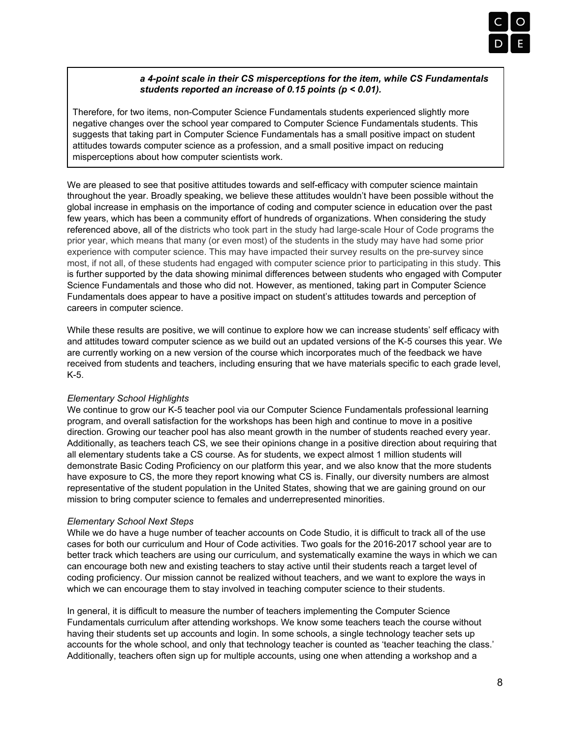### *a 4-point scale in their CS misperceptions for the item, while CS Fundamentals students reported an increase of 0.15 points (p < 0.01).*

Therefore, for two items, non-Computer Science Fundamentals students experienced slightly more negative changes over the school year compared to Computer Science Fundamentals students. This suggests that taking part in Computer Science Fundamentals has a small positive impact on student attitudes towards computer science as a profession, and a small positive impact on reducing misperceptions about how computer scientists work.

We are pleased to see that positive attitudes towards and self-efficacy with computer science maintain throughout the year. Broadly speaking, we believe these attitudes wouldn't have been possible without the global increase in emphasis on the importance of coding and computer science in education over the past few years, which has been a community effort of hundreds of organizations. When considering the study referenced above, all of the districts who took part in the study had large-scale Hour of Code programs the prior year, which means that many (or even most) of the students in the study may have had some prior experience with computer science. This may have impacted their survey results on the pre-survey since most, if not all, of these students had engaged with computer science prior to participating in this study. This is further supported by the data showing minimal differences between students who engaged with Computer Science Fundamentals and those who did not. However, as mentioned, taking part in Computer Science Fundamentals does appear to have a positive impact on student's attitudes towards and perception of careers in computer science.

While these results are positive, we will continue to explore how we can increase students' self efficacy with and attitudes toward computer science as we build out an updated versions of the K-5 courses this year. We are currently working on a new version of the course which incorporates much of the feedback we have received from students and teachers, including ensuring that we have materials specific to each grade level, K-5.

#### *Elementary School Highlights*

We continue to grow our K-5 teacher pool via our Computer Science Fundamentals professional learning program, and overall satisfaction for the workshops has been high and continue to move in a positive direction. Growing our teacher pool has also meant growth in the number of students reached every year. Additionally, as teachers teach CS, we see their opinions change in a positive direction about requiring that all elementary students take a CS course. As for students, we expect almost 1 million students will demonstrate Basic Coding Proficiency on our platform this year, and we also know that the more students have exposure to CS, the more they report knowing what CS is. Finally, our diversity numbers are almost representative of the student population in the United States, showing that we are gaining ground on our mission to bring computer science to females and underrepresented minorities.

#### *Elementary School Next Steps*

While we do have a huge number of teacher accounts on Code Studio, it is difficult to track all of the use cases for both our curriculum and Hour of Code activities. Two goals for the 2016-2017 school year are to better track which teachers are using our curriculum, and systematically examine the ways in which we can can encourage both new and existing teachers to stay active until their students reach a target level of coding proficiency. Our mission cannot be realized without teachers, and we want to explore the ways in which we can encourage them to stay involved in teaching computer science to their students.

In general, it is difficult to measure the number of teachers implementing the Computer Science Fundamentals curriculum after attending workshops. We know some teachers teach the course without having their students set up accounts and login. In some schools, a single technology teacher sets up accounts for the whole school, and only that technology teacher is counted as 'teacher teaching the class.' Additionally, teachers often sign up for multiple accounts, using one when attending a workshop and a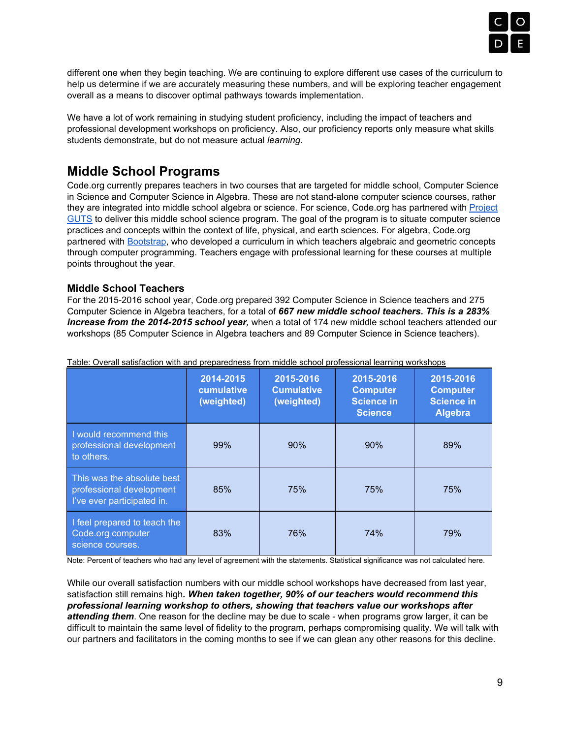

different one when they begin teaching. We are continuing to explore different use cases of the curriculum to help us determine if we are accurately measuring these numbers, and will be exploring teacher engagement overall as a means to discover optimal pathways towards implementation.

We have a lot of work remaining in studying student proficiency, including the impact of teachers and professional development workshops on proficiency. Also, our proficiency reports only measure what skills students demonstrate, but do not measure actual *learning*.

# <span id="page-8-0"></span>**Middle School Programs**

Code.org currently prepares teachers in two courses that are targeted for middle school, Computer Science in Science and Computer Science in Algebra. These are not stand-alone computer science courses, rather they are integrated into middle school algebra or science. For science, Code.org has partnered with [Project](http://www.projectguts.org/) [GUTS](http://www.projectguts.org/) to deliver this middle school science program. The goal of the program is to situate computer science practices and concepts within the context of life, physical, and earth sciences. For algebra, Code.org partnered with [Bootstrap,](http://www.bootstrapworld.org/) who developed a curriculum in which teachers algebraic and geometric concepts through computer programming. Teachers engage with professional learning for these courses at multiple points throughout the year.

# <span id="page-8-1"></span>**Middle School Teachers**

For the 2015-2016 school year, Code.org prepared 392 Computer Science in Science teachers and 275 Computer Science in Algebra teachers, for a total of *667 new middle school teachers. This is a 283% increase from the 2014-2015 school year,* when a total of 174 new middle school teachers attended our workshops (85 Computer Science in Algebra teachers and 89 Computer Science in Science teachers).

|                                                                                      | 2014-2015<br>cumulative<br>(weighted) | 2015-2016<br><b>Cumulative</b><br>(weighted) | 2015-2016<br><b>Computer</b><br><b>Science in</b><br><b>Science</b> | 2015-2016<br><b>Computer</b><br><b>Science in</b><br><b>Algebra</b> |
|--------------------------------------------------------------------------------------|---------------------------------------|----------------------------------------------|---------------------------------------------------------------------|---------------------------------------------------------------------|
| I would recommend this<br>professional development<br>to others.                     | 99%                                   | 90%                                          | 90%                                                                 | 89%                                                                 |
| This was the absolute best<br>professional development<br>l've ever participated in. | 85%                                   | 75%                                          | 75%                                                                 | 75%                                                                 |
| I feel prepared to teach the<br>Code.org computer<br>science courses.                | 83%                                   | 76%                                          | 74%                                                                 | 79%                                                                 |

<span id="page-8-2"></span>Table: Overall satisfaction with and preparedness from middle school professional learning workshops

Note: Percent of teachers who had any level of agreement with the statements. Statistical significance was not calculated here.

While our overall satisfaction numbers with our middle school workshops have decreased from last year, satisfaction still remains high*. When taken together, 90% of our teachers would recommend this professional learning workshop to others, showing that teachers value our workshops after attending them*. One reason for the decline may be due to scale - when programs grow larger, it can be difficult to maintain the same level of fidelity to the program, perhaps compromising quality. We will talk with our partners and facilitators in the coming months to see if we can glean any other reasons for this decline.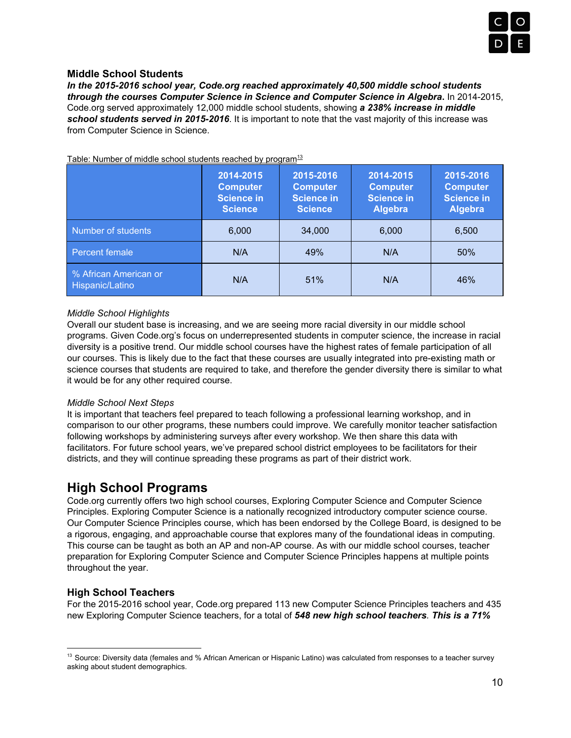

### <span id="page-9-0"></span>**Middle School Students**

*In the 2015-2016 school year, Code.org reached approximately 40,500 middle school students through the courses Computer Science in Science and Computer Science in Algebra***.** In 2014-2015, Code.org served approximately 12,000 middle school students, showing *a 238% increase in middle school students served in 2015-2016*. It is important to note that the vast majority of this increase was from Computer Science in Science.

|                                          | 2014-2015<br><b>Computer</b><br><b>Science in</b><br><b>Science</b> | 2015-2016<br><b>Computer</b><br><b>Science in</b><br><b>Science</b> | 2014-2015<br><b>Computer</b><br><b>Science in</b><br><b>Algebra</b> | 2015-2016<br><b>Computer</b><br>Science in<br><b>Algebra</b> |
|------------------------------------------|---------------------------------------------------------------------|---------------------------------------------------------------------|---------------------------------------------------------------------|--------------------------------------------------------------|
| Number of students                       | 6,000                                                               | 34,000                                                              | 6,000                                                               | 6,500                                                        |
| Percent female                           | N/A                                                                 | 49%                                                                 | N/A                                                                 | 50%                                                          |
| % African American or<br>Hispanic/Latino | N/A                                                                 | 51%                                                                 | N/A                                                                 | 46%                                                          |

<span id="page-9-1"></span>Table: Number of middle school students reached by program $13$ 

#### *Middle School Highlights*

Overall our student base is increasing, and we are seeing more racial diversity in our middle school programs. Given Code.org's focus on underrepresented students in computer science, the increase in racial diversity is a positive trend. Our middle school courses have the highest rates of female participation of all our courses. This is likely due to the fact that these courses are usually integrated into pre-existing math or science courses that students are required to take, and therefore the gender diversity there is similar to what it would be for any other required course.

#### *Middle School Next Steps*

It is important that teachers feel prepared to teach following a professional learning workshop, and in comparison to our other programs, these numbers could improve. We carefully monitor teacher satisfaction following workshops by administering surveys after every workshop. We then share this data with facilitators. For future school years, we've prepared school district employees to be facilitators for their districts, and they will continue spreading these programs as part of their district work.

# <span id="page-9-2"></span>**High School Programs**

Code.org currently offers two high school courses, Exploring Computer Science and Computer Science Principles. Exploring Computer Science is a nationally recognized introductory computer science course. Our Computer Science Principles course, which has been endorsed by the College Board, is designed to be a rigorous, engaging, and approachable course that explores many of the foundational ideas in computing. This course can be taught as both an AP and non-AP course. As with our middle school courses, teacher preparation for Exploring Computer Science and Computer Science Principles happens at multiple points throughout the year.

# <span id="page-9-3"></span>**High School Teachers**

For the 2015-2016 school year, Code.org prepared 113 new Computer Science Principles teachers and 435 new Exploring Computer Science teachers, for a total of *548 new high school teachers. This is a 71%*

<sup>&</sup>lt;sup>13</sup> Source: Diversity data (females and % African American or Hispanic Latino) was calculated from responses to a teacher survey asking about student demographics.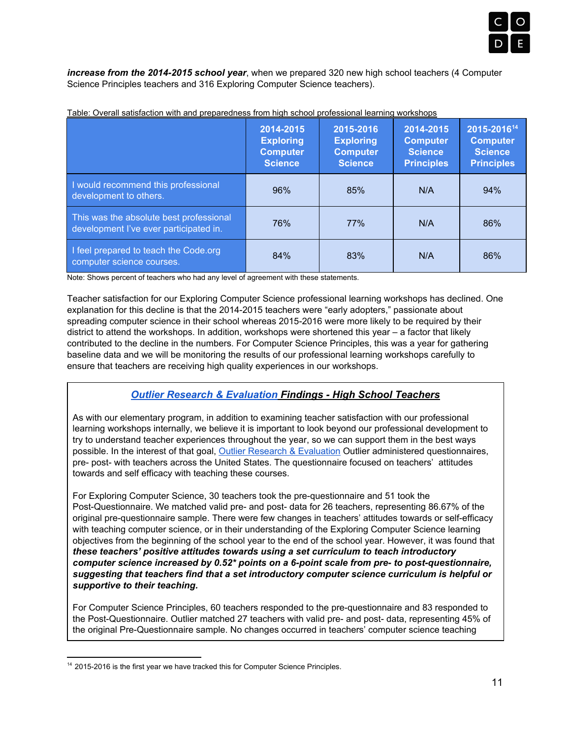

 *increase from the 2014-2015 school year*, when we prepared 320 new high school teachers (4 Computer Science Principles teachers and 316 Exploring Computer Science teachers).

|                                                                                   | 2014-2015<br><b>Exploring</b><br><b>Computer</b><br><b>Science</b> | 2015-2016<br><b>Exploring</b><br><b>Computer</b><br><b>Science</b> | 2014-2015<br><b>Computer</b><br><b>Science</b><br><b>Principles</b> | 2015-201614<br><b>Computer</b><br><b>Science</b><br><b>Principles</b> |
|-----------------------------------------------------------------------------------|--------------------------------------------------------------------|--------------------------------------------------------------------|---------------------------------------------------------------------|-----------------------------------------------------------------------|
| I would recommend this professional<br>development to others.                     | 96%                                                                | 85%                                                                | N/A                                                                 | 94%                                                                   |
| This was the absolute best professional<br>development I've ever participated in. | 76%                                                                | 77%                                                                | N/A                                                                 | 86%                                                                   |
| I feel prepared to teach the Code.org<br>computer science courses.                | 84%                                                                | 83%                                                                | N/A                                                                 | 86%                                                                   |

<span id="page-10-0"></span>Table: Overall satisfaction with and preparedness from high school professional learning workshops

Note: Shows percent of teachers who had any level of agreement with these statements.

Teacher satisfaction for our Exploring Computer Science professional learning workshops has declined. One explanation for this decline is that the 2014-2015 teachers were "early adopters," passionate about spreading computer science in their school whereas 2015-2016 were more likely to be required by their district to attend the workshops. In addition, workshops were shortened this year – a factor that likely contributed to the decline in the numbers. For Computer Science Principles, this was a year for gathering baseline data and we will be monitoring the results of our professional learning workshops carefully to ensure that teachers are receiving high quality experiences in our workshops.

# *[Outlier Research](http://outlier.uchicago.edu/) & Evaluation Findings - High School Teachers*

<span id="page-10-1"></span>As with our elementary program, in addition to examining teacher satisfaction with our professional learning workshops internally, we believe it is important to look beyond our professional development to try to understand teacher experiences throughout the year, so we can support them in the best ways possible. In the interest of that goal, [Outlier Research & Evaluation](http://outlier.uchicago.edu/) Outlier administered questionnaires, pre- post- with teachers across the United States. The questionnaire focused on teachers' attitudes towards and self efficacy with teaching these courses.

For Exploring Computer Science, 30 teachers took the pre-questionnaire and 51 took the Post-Questionnaire. We matched valid pre- and post- data for 26 teachers, representing 86.67% of the original pre-questionnaire sample. There were few changes in teachers' attitudes towards or self-efficacy with teaching computer science, or in their understanding of the Exploring Computer Science learning objectives from the beginning of the school year to the end of the school year. However, it was found that *these teachers' positive attitudes towards using a set curriculum to teach introductory computer science increased by 0.52\* points on a 6-point scale from pre- to post-questionnaire, suggesting that teachers find that a set introductory computer science curriculum is helpful or supportive to their teaching.*

For Computer Science Principles, 60 teachers responded to the pre-questionnaire and 83 responded to the Post-Questionnaire. Outlier matched 27 teachers with valid pre- and post- data, representing 45% of the original Pre-Questionnaire sample. No changes occurred in teachers' computer science teaching

 $14$  2015-2016 is the first year we have tracked this for Computer Science Principles.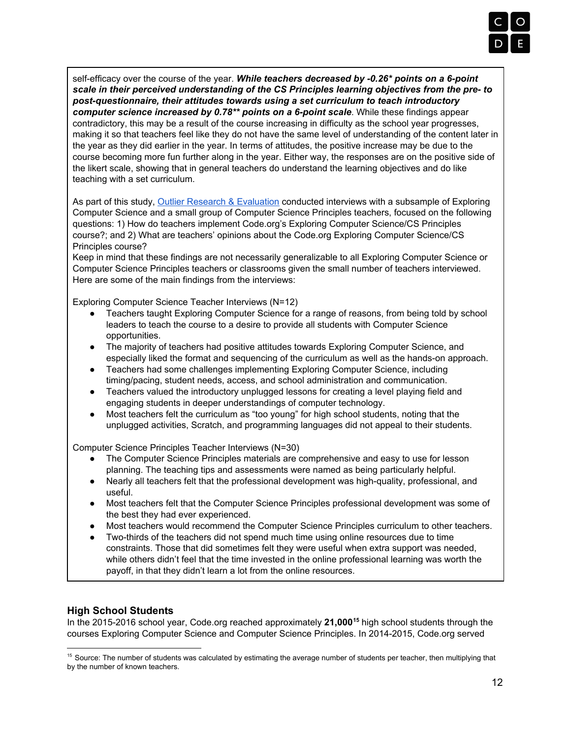self-efficacy over the course of the year. *While teachers decreased by -0.26\* points on a 6-point scale in their perceived understanding of the CS Principles learning objectives from the pre- to post-questionnaire, their attitudes towards using a set curriculum to teach introductory computer science increased by 0.78\*\* points on a 6-point scale*. While these findings appear contradictory, this may be a result of the course increasing in difficulty as the school year progresses, making it so that teachers feel like they do not have the same level of understanding of the content later in the year as they did earlier in the year. In terms of attitudes, the positive increase may be due to the course becoming more fun further along in the year. Either way, the responses are on the positive side of the likert scale, showing that in general teachers do understand the learning objectives and do like teaching with a set curriculum.

As part of this study, [Outlier Research & Evaluation](http://outlier.uchicago.edu/) conducted interviews with a subsample of Exploring Computer Science and a small group of Computer Science Principles teachers, focused on the following questions: 1) How do teachers implement Code.org's Exploring Computer Science/CS Principles course?; and 2) What are teachers' opinions about the Code.org Exploring Computer Science/CS Principles course?

Keep in mind that these findings are not necessarily generalizable to all Exploring Computer Science or Computer Science Principles teachers or classrooms given the small number of teachers interviewed. Here are some of the main findings from the interviews:

Exploring Computer Science Teacher Interviews (N=12)

- Teachers taught Exploring Computer Science for a range of reasons, from being told by school leaders to teach the course to a desire to provide all students with Computer Science opportunities.
- The majority of teachers had positive attitudes towards Exploring Computer Science, and especially liked the format and sequencing of the curriculum as well as the hands-on approach.
- Teachers had some challenges implementing Exploring Computer Science, including timing/pacing, student needs, access, and school administration and communication.
- Teachers valued the introductory unplugged lessons for creating a level playing field and engaging students in deeper understandings of computer technology.
- Most teachers felt the curriculum as "too young" for high school students, noting that the unplugged activities, Scratch, and programming languages did not appeal to their students.

Computer Science Principles Teacher Interviews (N=30)

- The Computer Science Principles materials are comprehensive and easy to use for lesson planning. The teaching tips and assessments were named as being particularly helpful.
- Nearly all teachers felt that the professional development was high-quality, professional, and useful.
- Most teachers felt that the Computer Science Principles professional development was some of the best they had ever experienced.
- Most teachers would recommend the Computer Science Principles curriculum to other teachers.
- Two-thirds of the teachers did not spend much time using online resources due to time constraints. Those that did sometimes felt they were useful when extra support was needed, while others didn't feel that the time invested in the online professional learning was worth the payoff, in that they didn't learn a lot from the online resources.

# <span id="page-11-0"></span>**High School Students**

In the 2015-2016 school year, Code.org reached approximately 21,000<sup>15</sup> high school students through the courses Exploring Computer Science and Computer Science Principles. In 2014-2015, Code.org served

<sup>&</sup>lt;sup>15</sup> Source: The number of students was calculated by estimating the average number of students per teacher, then multiplying that by the number of known teachers.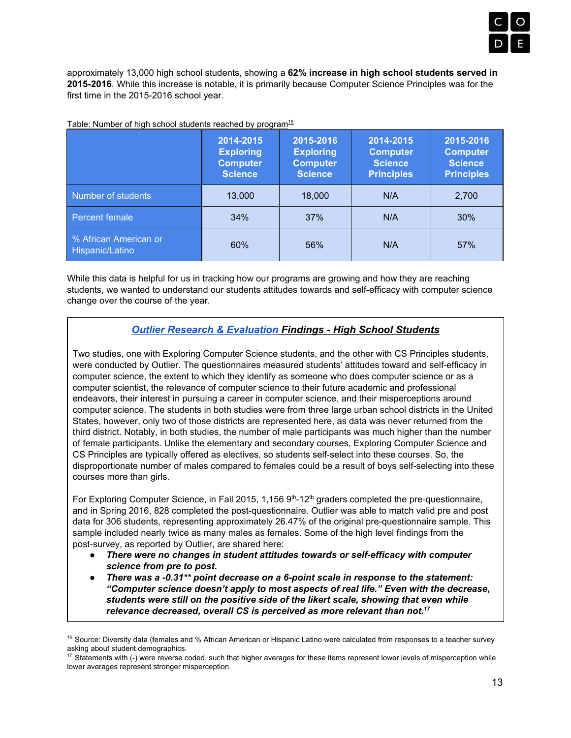

approximately 13,000 high school students, showing a **62% increase in high school students served in 2015-2016**. While this increase is notable, it is primarily because Computer Science Principles was for the first time in the 2015-2016 school year.

|                                          | 2014-2015<br><b>Exploring</b><br><b>Computer</b><br><b>Science</b> | 2015-2016<br><b>Exploring</b><br><b>Computer</b><br><b>Science</b> | 2014-2015<br><b>Computer</b><br><b>Science</b><br><b>Principles</b> | 2015-2016<br><b>Computer</b><br><b>Science</b><br><b>Principles</b> |
|------------------------------------------|--------------------------------------------------------------------|--------------------------------------------------------------------|---------------------------------------------------------------------|---------------------------------------------------------------------|
| Number of students                       | 13,000                                                             | 18,000                                                             | N/A                                                                 | 2,700                                                               |
| Percent female                           | 34%                                                                | 37%                                                                | N/A                                                                 | 30%                                                                 |
| % African American or<br>Hispanic/Latino | 60%                                                                | 56%                                                                | N/A                                                                 | 57%                                                                 |

<span id="page-12-0"></span>Table: Number of high school students reached by program $16$ 

While this data is helpful for us in tracking how our programs are growing and how they are reaching students, we wanted to understand our students attitudes towards and self-efficacy with computer science change over the course of the year.

# *[Outlier Research](http://outlier.uchicago.edu/) & Evaluation Findings - High School Students*

<span id="page-12-1"></span>Two studies, one with Exploring Computer Science students, and the other with CS Principles students, were conducted by Outlier. The questionnaires measured students' attitudes toward and self-efficacy in computer science, the extent to which they identify as someone who does computer science or as a computer scientist, the relevance of computer science to their future academic and professional endeavors, their interest in pursuing a career in computer science, and their misperceptions around computer science. The students in both studies were from three large urban school districts in the United States, however, only two of those districts are represented here, as data was never returned from the third district. Notably, in both studies, the number of male participants was much higher than the number of female participants. Unlike the elementary and secondary courses, Exploring Computer Science and CS Principles are typically offered as electives, so students self-select into these courses. So, the disproportionate number of males compared to females could be a result of boys self-selecting into these courses more than girls.

For Exploring Computer Science, in Fall 2015, 1,156  $9<sup>th</sup>$ -12<sup>th</sup> graders completed the pre-questionnaire, and in Spring 2016, 828 completed the post-questionnaire. Outlier was able to match valid pre and post data for 306 students, representing approximately 26.47% of the original pre-questionnaire sample. This sample included nearly twice as many males as females. Some of the high level findings from the post-survey, as reported by Outlier, are shared here:

- *● There were no changes in student attitudes towards or self-efficacy with computer science from pre to post.*
- *● There was a -0.31\*\* point decrease on a 6-point scale in response to the statement: "Computer science doesn't apply to most aspects of real life." Even with the decrease, students were still on the positive side of the likert scale, showing that even while relevance decreased, overall CS is perceived as more relevant than not. 17*

<sup>&</sup>lt;sup>16</sup> Source: Diversity data (females and % African American or Hispanic Latino were calculated from responses to a teacher survey asking about student demographics.

<sup>&</sup>lt;sup>17</sup> Statements with (-) were reverse coded, such that higher averages for these items represent lower levels of misperception while lower averages represent stronger misperception.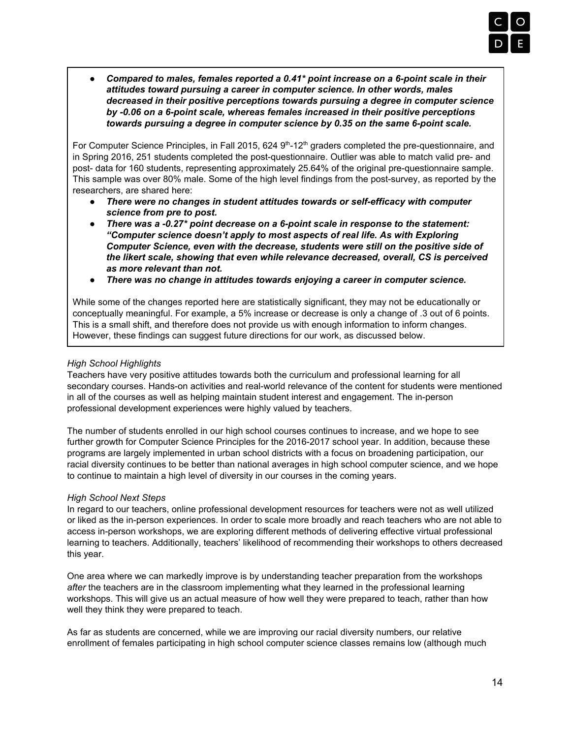

*● Compared to males, females reported a 0.41\* point increase on a 6-point scale in their attitudes toward pursuing a career in computer science. In other words, males decreased in their positive perceptions towards pursuing a degree in computer science by -0.06 on a 6-point scale, whereas females increased in their positive perceptions towards pursuing a degree in computer science by 0.35 on the same 6-point scale.*

For Computer Science Principles, in Fall 2015, 624 9<sup>th</sup>-12<sup>th</sup> graders completed the pre-questionnaire, and in Spring 2016, 251 students completed the post-questionnaire. Outlier was able to match valid pre- and post- data for 160 students, representing approximately 25.64% of the original pre-questionnaire sample. This sample was over 80% male. Some of the high level findings from the post-survey, as reported by the researchers, are shared here:

- *● There were no changes in student attitudes towards or self-efficacy with computer science from pre to post.*
- *● There was a -0.27\* point decrease on a 6-point scale in response to the statement: "Computer science doesn't apply to most aspects of real life. As with Exploring Computer Science, even with the decrease, students were still on the positive side of the likert scale, showing that even while relevance decreased, overall, CS is perceived as more relevant than not.*
- *● There was no change in attitudes towards enjoying a career in computer science.*

While some of the changes reported here are statistically significant, they may not be educationally or conceptually meaningful. For example, a 5% increase or decrease is only a change of .3 out of 6 points. This is a small shift, and therefore does not provide us with enough information to inform changes. However, these findings can suggest future directions for our work, as discussed below.

#### *High School Highlights*

Teachers have very positive attitudes towards both the curriculum and professional learning for all secondary courses. Hands-on activities and real-world relevance of the content for students were mentioned in all of the courses as well as helping maintain student interest and engagement. The in-person professional development experiences were highly valued by teachers.

The number of students enrolled in our high school courses continues to increase, and we hope to see further growth for Computer Science Principles for the 2016-2017 school year. In addition, because these programs are largely implemented in urban school districts with a focus on broadening participation, our racial diversity continues to be better than national averages in high school computer science, and we hope to continue to maintain a high level of diversity in our courses in the coming years.

#### *High School Next Steps*

In regard to our teachers, online professional development resources for teachers were not as well utilized or liked as the in-person experiences. In order to scale more broadly and reach teachers who are not able to access in-person workshops, we are exploring different methods of delivering effective virtual professional learning to teachers. Additionally, teachers' likelihood of recommending their workshops to others decreased this year.

One area where we can markedly improve is by understanding teacher preparation from the workshops *after* the teachers are in the classroom implementing what they learned in the professional learning workshops. This will give us an actual measure of how well they were prepared to teach, rather than how well they think they were prepared to teach.

As far as students are concerned, while we are improving our racial diversity numbers, our relative enrollment of females participating in high school computer science classes remains low (although much